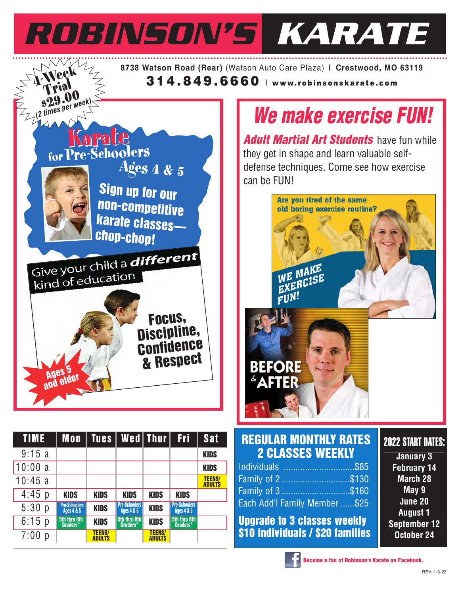

| 9:15a    |                                               |                                |                                               |                                |                                               | <b>KIDS</b>                    |  |
|----------|-----------------------------------------------|--------------------------------|-----------------------------------------------|--------------------------------|-----------------------------------------------|--------------------------------|--|
| 10:00a   |                                               |                                |                                               |                                |                                               | <b>KIDS</b>                    |  |
| 10:45a   |                                               |                                |                                               |                                |                                               | <b>TEENS/</b><br><b>ADULTS</b> |  |
| $4:45$ p | <b>KIDS</b>                                   | <b>KIDS</b>                    | <b>KIDS</b>                                   | <b>KIDS</b>                    | <b>KIDS</b>                                   |                                |  |
| 5:30 p   | <b>Pre-Schoolers</b><br><b>Ages 4 &amp; 5</b> | <b>KIDS</b>                    | <b>Pre-Schoolers</b><br><b>Ages 4 &amp; 5</b> | <b>KIDS</b>                    | <b>Pre-Schoolers</b><br><b>Ages 4 &amp; 5</b> |                                |  |
| 6:15 p   | 5th thru 8th<br>Graders*                      | <b>KIDS</b>                    | 5th thru 8th<br>Graders*                      | <b>KIDS</b>                    | 5th thru 8th<br>Graders*                      |                                |  |
| 7:00 p   |                                               | <b>TEENS/</b><br><b>ADULTS</b> |                                               | <b>TEENS/</b><br><b>ADULTS</b> |                                               |                                |  |

| Individuals \$85              |  |
|-------------------------------|--|
| Family of 2\$130              |  |
| Family of 3\$160              |  |
| Each Add'l Family Member \$25 |  |
|                               |  |

**Upgrade to 3 classes weekly \$10 individuals / \$20 families**

**February 14 March 28 May 9 June 20 August 1 September 12 October 24**

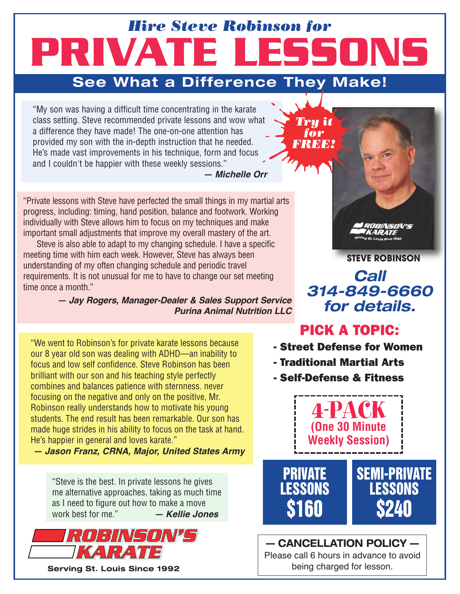# **PRIVATE LESSONS** *Hire Steve Robinson for*

### **See What a Difference They Make!**

"My son was having a difficult time concentrating in the karate class setting. Steve recommended private lessons and wow what a difference they have made! The one-on-one attention has provided my son with the in-depth instruction that he needed. He's made vast improvements in his technique, form and focus and I couldn't be happier with these weekly sessions."

*— Michelle Orr*

"Private lessons with Steve have perfected the small things in my martial arts progress, including: timing, hand position, balance and footwork. Working individually with Steve allows him to focus on my techniques and make important small adjustments that improve my overall mastery of the art.

Steve is also able to adapt to my changing schedule. I have a specific meeting time with him each week. However, Steve has always been understanding of my often changing schedule and periodic travel requirements. It is not unusual for me to have to change our set meeting time once a month."

> *— Jay Rogers, Manager-Dealer & Sales Support Service Purina Animal Nutrition LLC*

"We went to Robinson's for private karate lessons because our 8 year old son was dealing with ADHD—an inability to focus and low self confidence. Steve Robinson has been brilliant with our son and his teaching style perfectly combines and balances patience with sternness. never focusing on the negative and only on the positive, Mr. Robinson really understands how to motivate his young students. The end result has been remarkable. Our son has made huge strides in his ability to focus on the task at hand. He's happier in general and loves karate."

*— Jason Franz, CRNA, Major, United States Army*

"Steve is the best. In private lessons he gives me alternative approaches, taking as much time as I need to figure out how to make a move work best for me." *— Kellie Jones*



**STEVE ROBINSON**

**Call 314-849-6660 for details.**

### PICK A TOPIC:

- Street Defense for Women
- Traditional Martial Arts

*Try it for FREE!*

- Self-Defense & Fitness



**— CANCELLATION POLICY —** Please call 6 hours in advance to avoid being charged for lesson.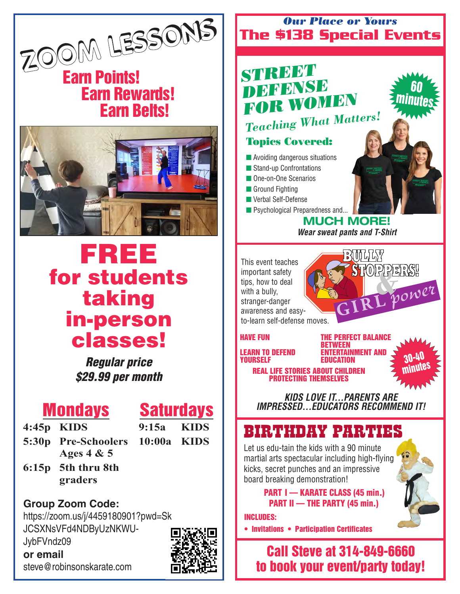

### **Earn Points! Earn Rewards! Earn Belts!**



# **FREE for students taking in-person classes!**

**Regular price \$29.99 per month**

### **Mondays**

**Saturdays**

- **4:45p KIDS**
- 
- **5:30p Pre-Schoolers 10:00a KIDS Ages 4 & 5**

**9:15a KIDS**

**6:15p 5th thru 8th graders**

**Group Zoom Code:** https://zoom.us/j/4459180901?pwd=Sk JCSXNsVFd4NDByUzNKWU-JybFVndz09

**or email** steve@robinsonskarate.com



#### **The \$138 Special Events** *Our Place or Yours*

### *STREET DEFENSE FOR WOMEN Teaching What Matters!*

### **Topics Covered:**

- $\blacksquare$  Avoiding dangerous situations
- **n** Stand-up Confrontations
- **n** One-on-One Scenarios
- **n** Ground Fighting
- **N** Verbal Self-Defense
- **n** Psychological Preparedness and...

**MUCH MORE! Wear sweat pants and T-Shirt**

**B**ULLY

& **STOPPERS! STOPPERS!**

This event teaches important safety tips, how to deal with a bully, stranger-danger awareness and easyto-learn self-defense moves.

#### **HAVE FUN**

**LEARN TO DEFEND YOURSELF**

**THE PERFECT BALANCE BETWEEN ENTERTAINMENT AND EDUCATION**

**30-40 minutes**

**60 minutes**

**REAL LIFE STORIES ABOUT CHILDREN PROTECTING THEMSELVES**

**KIDS LOVE IT...PARENTS ARE IMPRESSED...EDUCATORS RECOMMEND IT!**

### BIRTHDAY PARTIES

Let us edu-tain the kids with a 90 minute martial arts spectacular including high-flying kicks, secret punches and an impressive board breaking demonstration!

> **PART I — KARATE CLASS (45 min.) PART II — THE PARTY (45 min.)**

**INCLUDES:**

**• Invitations • Participation Certificates**

**Call Steve at 314-849-6660 to book your event/party today!**